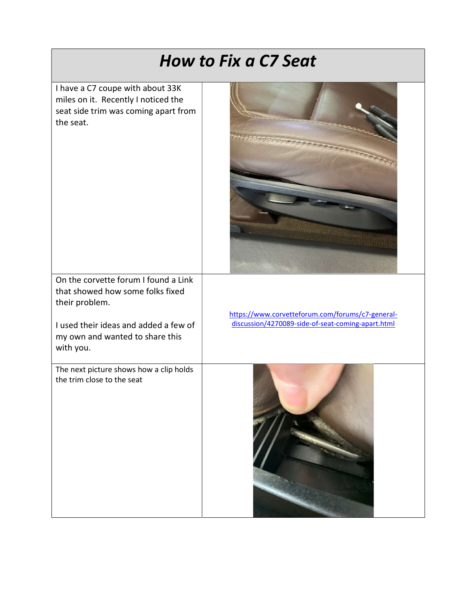| <b>How to Fix a C7 Seat</b>                                                                                                                                                         |                                                                                                       |
|-------------------------------------------------------------------------------------------------------------------------------------------------------------------------------------|-------------------------------------------------------------------------------------------------------|
| I have a C7 coupe with about 33K<br>miles on it. Recently I noticed the<br>seat side trim was coming apart from<br>the seat.                                                        |                                                                                                       |
| On the corvette forum I found a Link<br>that showed how some folks fixed<br>their problem.<br>I used their ideas and added a few of<br>my own and wanted to share this<br>with you. | https://www.corvetteforum.com/forums/c7-general-<br>discussion/4270089-side-of-seat-coming-apart.html |
| The next picture shows how a clip holds<br>the trim close to the seat                                                                                                               |                                                                                                       |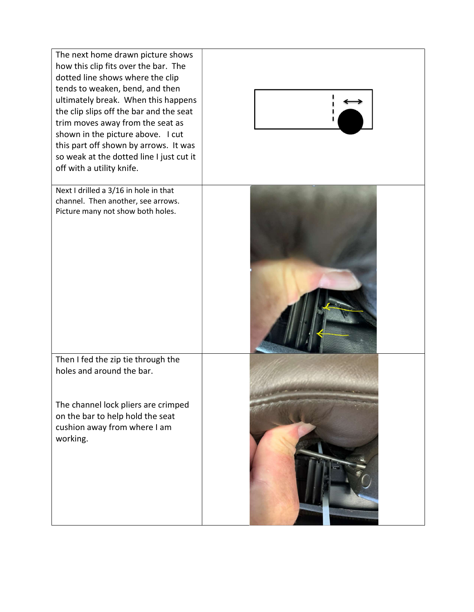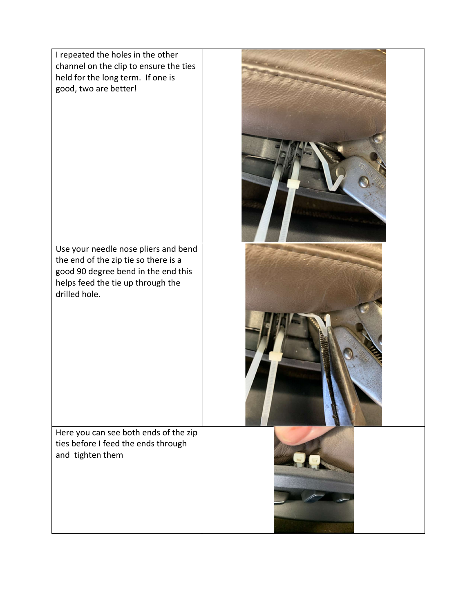| I repeated the holes in the other<br>channel on the clip to ensure the ties<br>held for the long term. If one is<br>good, two are better!                                 |  |
|---------------------------------------------------------------------------------------------------------------------------------------------------------------------------|--|
| Use your needle nose pliers and bend<br>the end of the zip tie so there is a<br>good 90 degree bend in the end this<br>helps feed the tie up through the<br>drilled hole. |  |
| Here you can see both ends of the zip<br>ties before I feed the ends through<br>and tighten them                                                                          |  |